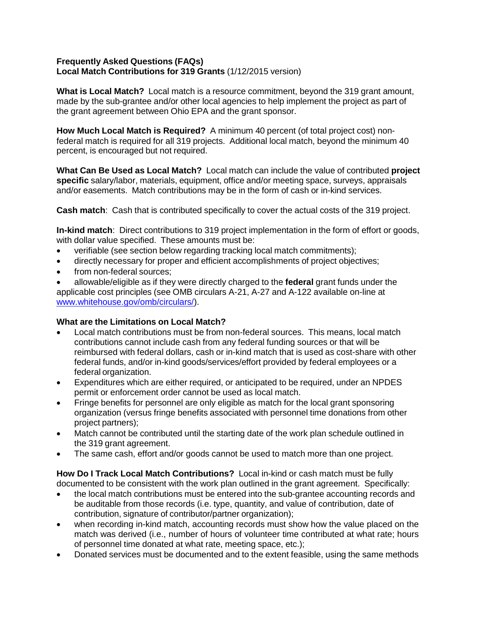## **Frequently Asked Questions (FAQs) Local Match Contributions for 319 Grants** (1/12/2015 version)

**What is Local Match?** Local match is a resource commitment, beyond the 319 grant amount, made by the sub-grantee and/or other local agencies to help implement the project as part of the grant agreement between Ohio EPA and the grant sponsor.

**How Much Local Match is Required?** A minimum 40 percent (of total project cost) nonfederal match is required for all 319 projects. Additional local match, beyond the minimum 40 percent, is encouraged but not required.

**What Can Be Used as Local Match?** Local match can include the value of contributed **project specific** salary/labor, materials, equipment, office and/or meeting space, surveys, appraisals and/or easements. Match contributions may be in the form of cash or in-kind services.

**Cash match**: Cash that is contributed specifically to cover the actual costs of the 319 project.

**In-kind match**: Direct contributions to 319 project implementation in the form of effort or goods, with dollar value specified. These amounts must be:

- verifiable (see section below regarding tracking local match commitments);
- directly necessary for proper and efficient accomplishments of project objectives;
- from non-federal sources;

 allowable/eligible as if they were directly charged to the **federal** grant funds under the applicable cost principles (see OMB circulars A-21, A-27 and A-122 available on-line at [www.whitehouse.gov/omb/circulars/\).](http://www.whitehouse.gov/omb/circulars/))

## **What are the Limitations on Local Match?**

- Local match contributions must be from non-federal sources. This means, local match contributions cannot include cash from any federal funding sources or that will be reimbursed with federal dollars, cash or in-kind match that is used as cost-share with other federal funds, and/or in-kind goods/services/effort provided by federal employees or a federal organization.
- Expenditures which are either required, or anticipated to be required, under an NPDES permit or enforcement order cannot be used as local match.
- Fringe benefits for personnel are only eligible as match for the local grant sponsoring organization (versus fringe benefits associated with personnel time donations from other project partners);
- Match cannot be contributed until the starting date of the work plan schedule outlined in the 319 grant agreement.
- The same cash, effort and/or goods cannot be used to match more than one project.

**How Do I Track Local Match Contributions?** Local in-kind or cash match must be fully documented to be consistent with the work plan outlined in the grant agreement. Specifically:

- the local match contributions must be entered into the sub-grantee accounting records and be auditable from those records (i.e. type, quantity, and value of contribution, date of contribution, signature of contributor/partner organization);
- when recording in-kind match, accounting records must show how the value placed on the match was derived (i.e., number of hours of volunteer time contributed at what rate; hours of personnel time donated at what rate, meeting space, etc.);
- Donated services must be documented and to the extent feasible, using the same methods